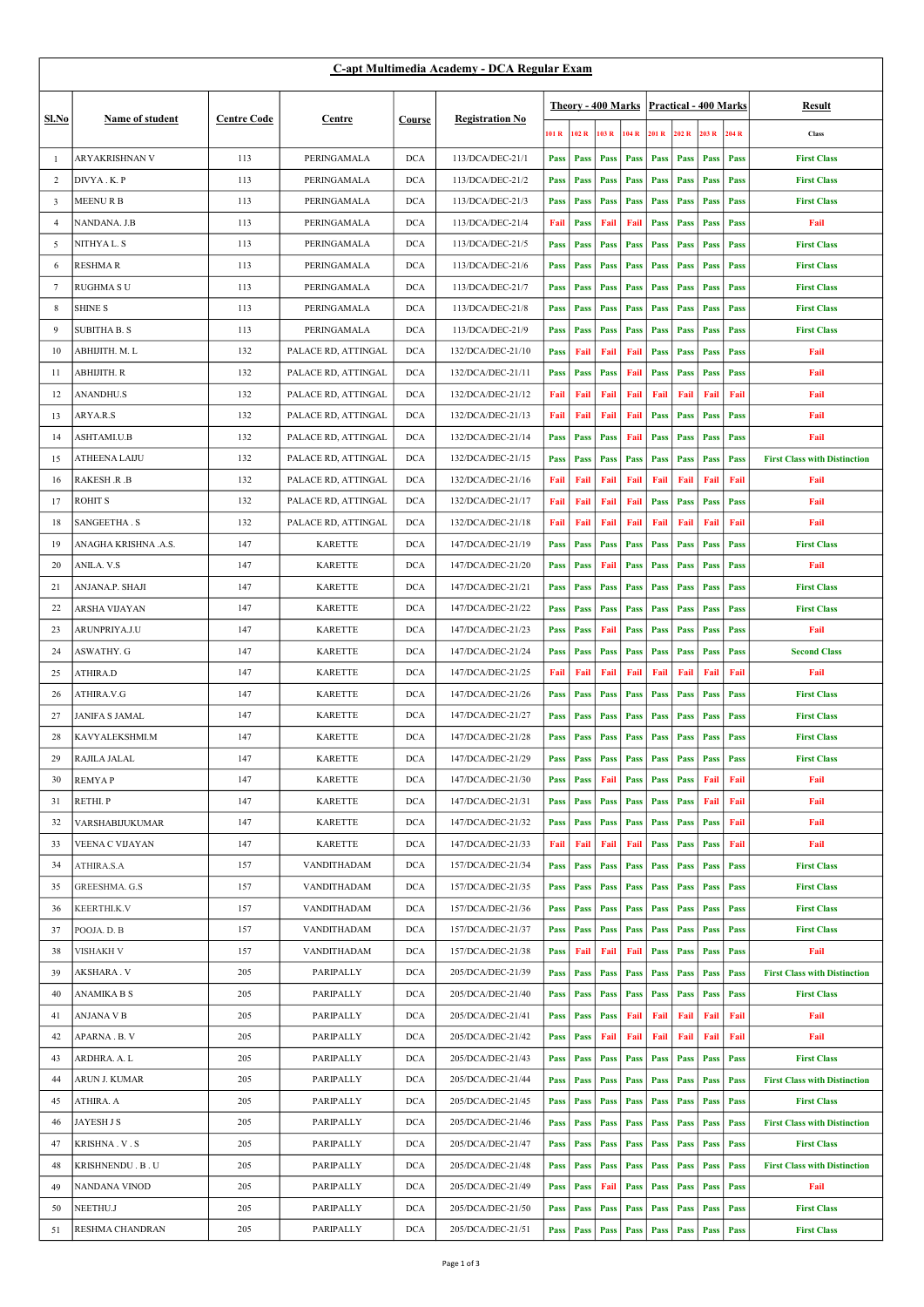| C-apt Multimedia Academy - DCA Regular Exam |                        |                    |                     |            |                        |                    |             |       |             |                                         |             |             |             |                                     |
|---------------------------------------------|------------------------|--------------------|---------------------|------------|------------------------|--------------------|-------------|-------|-------------|-----------------------------------------|-------------|-------------|-------------|-------------------------------------|
|                                             |                        | <b>Centre Code</b> |                     |            | <b>Registration No</b> | Theory - 400 Marks |             |       |             | <b>Practical - 400 Marks</b>            |             |             |             | Result                              |
| Sl.No                                       | Name of student        |                    | Centre              | Course     |                        |                    |             |       |             |                                         |             |             |             |                                     |
|                                             |                        |                    |                     |            |                        | 101 R              | 102 R       | 103 R | 104 R       | 201 R                                   | 202 R       | 203 R       | 204 R       | Class                               |
| -1                                          | ARYAKRISHNAN V         | 113                | PERINGAMALA         | <b>DCA</b> | 113/DCA/DEC-21/1       | <b>Pass</b>        | Pass        | Pass  | Pass        | Pass                                    | <b>Pass</b> | Pass        | Pass        | <b>First Class</b>                  |
| 2                                           | DIVYA.K.P              | 113                | PERINGAMALA         | <b>DCA</b> | 113/DCA/DEC-21/2       | <b>Pass</b>        | Pass        | Pass  | Pass        | Pass                                    | <b>Pass</b> | <b>Pass</b> | <b>Pass</b> | <b>First Class</b>                  |
| 3                                           | MEENU R B              | 113                | PERINGAMALA         | <b>DCA</b> | 113/DCA/DEC-21/3       | <b>Pass</b>        | Pass        | Pass  | Pass        | Pass                                    | <b>Pass</b> | <b>Pass</b> | <b>Pass</b> | <b>First Class</b>                  |
| $\overline{4}$                              | NANDANA. J.B           | 113                | PERINGAMALA         | <b>DCA</b> | 113/DCA/DEC-21/4       | Fail               | Pass        | Fail  | Fail        | <b>Pass</b>                             | Pass        | Pass        | <b>Pass</b> | Fail                                |
| 5                                           | NITHYA L. S            | 113                | PERINGAMALA         | <b>DCA</b> | 113/DCA/DEC-21/5       | <b>Pass</b>        | Pass        | Pass  | <b>Pass</b> | Pass                                    | <b>Pass</b> | Pass        | <b>Pass</b> | <b>First Class</b>                  |
| 6                                           | <b>RESHMAR</b>         | 113                | PERINGAMALA         | <b>DCA</b> | 113/DCA/DEC-21/6       | <b>Pass</b>        | Pass        | Pass  | Pass        | Pass                                    | <b>Pass</b> | Pass        | <b>Pass</b> | <b>First Class</b>                  |
| 7                                           | <b>RUGHMA S U</b>      | 113                | PERINGAMALA         | <b>DCA</b> | 113/DCA/DEC-21/7       | <b>Pass</b>        | Pass        | Pass  | Pass        | Pass                                    | <b>Pass</b> | <b>Pass</b> | <b>Pass</b> | <b>First Class</b>                  |
| 8                                           | <b>SHINE S</b>         | 113                | PERINGAMALA         | <b>DCA</b> | 113/DCA/DEC-21/8       | <b>Pass</b>        | Pass        | Pass  | Pass        | Pass                                    | Pass        | <b>Pass</b> | <b>Pass</b> | <b>First Class</b>                  |
| 9                                           | SUBITHA B. S           | 113                | PERINGAMALA         | <b>DCA</b> | 113/DCA/DEC-21/9       | <b>Pass</b>        | Pass        | Pass  | <b>Pass</b> | Pass                                    | <b>Pass</b> | <b>Pass</b> | <b>Pass</b> | <b>First Class</b>                  |
| 10                                          | ABHIJITH. M. L         | 132                | PALACE RD, ATTINGAL | <b>DCA</b> | 132/DCA/DEC-21/10      | <b>Pass</b>        | Fail        | Fail  | Fail        | <b>Pass</b>                             | <b>Pass</b> | <b>Pass</b> | <b>Pass</b> | Fail                                |
| 11                                          | ABHIJITH. R            | 132                | PALACE RD, ATTINGAL | <b>DCA</b> | 132/DCA/DEC-21/11      | <b>Pass</b>        | Pass        | Pass  | Fail        | <b>Pass</b>                             | <b>Pass</b> | <b>Pass</b> | <b>Pass</b> | Fail                                |
| 12                                          | ANANDHU.S              | 132                | PALACE RD, ATTINGAL | <b>DCA</b> | 132/DCA/DEC-21/12      | Fail               | Fail        | Fail  | Fail        | Fail                                    | Fail        | Fail        | Fail        | Fail                                |
| 13                                          | ARYA.R.S               | 132                | PALACE RD, ATTINGAL | <b>DCA</b> | 132/DCA/DEC-21/13      | Fail               | Fail        | Fail  | Fail        | Pass                                    | <b>Pass</b> | <b>Pass</b> | <b>Pass</b> | Fail                                |
| 14                                          | ASHTAMI.U.B            | 132                | PALACE RD, ATTINGAL | <b>DCA</b> | 132/DCA/DEC-21/14      | <b>Pass</b>        | Pass        | Pass  | Fail        | <b>Pass</b>                             | <b>Pass</b> | <b>Pass</b> | <b>Pass</b> | Fail                                |
| 15                                          | <b>ATHEENA LAIJU</b>   | 132                | PALACE RD, ATTINGAL | <b>DCA</b> | 132/DCA/DEC-21/15      | <b>Pass</b>        | Pass        | Pass  | <b>Pass</b> | Pass                                    | Pass        | Pass        | Pass        | <b>First Class with Distinction</b> |
| 16                                          | RAKESH .R .B           | 132                | PALACE RD, ATTINGAL | <b>DCA</b> | 132/DCA/DEC-21/16      | Fail               | Fail        | Fail  | Fail        | Fail                                    | Fail        | Fail        | Fail        | Fail                                |
| 17                                          | <b>ROHIT S</b>         | 132                | PALACE RD, ATTINGAL | <b>DCA</b> | 132/DCA/DEC-21/17      | Fail               | Fail        | Fail  | Fail        | <b>Pass</b>                             | <b>Pass</b> | <b>Pass</b> | <b>Pass</b> | Fail                                |
| 18                                          | SANGEETHA.S            | 132                | PALACE RD, ATTINGAL | <b>DCA</b> | 132/DCA/DEC-21/18      | Fail               | Fail        | Fail  | Fail        | Fail                                    | Fail        | Fail        | Fail        | Fail                                |
| 19                                          | ANAGHA KRISHNA .A.S.   | 147                | <b>KARETTE</b>      | <b>DCA</b> | 147/DCA/DEC-21/19      | <b>Pass</b>        | Pass        | Pass  | Pass        | Pass                                    | <b>Pass</b> | Pass        | <b>Pass</b> | <b>First Class</b>                  |
| 20                                          | ANILA. V.S             | 147                | <b>KARETTE</b>      | <b>DCA</b> | 147/DCA/DEC-21/20      | <b>Pass</b>        | Pass        | Fail  | Pass        | <b>Pass</b>                             | Pass        | <b>Pass</b> | <b>Pass</b> | Fail                                |
| 21                                          | ANJANA.P. SHAJI        | 147                | <b>KARETTE</b>      | <b>DCA</b> | 147/DCA/DEC-21/21      | <b>Pass</b>        | Pass        | Pass  | <b>Pass</b> | Pass                                    | <b>Pass</b> | Pass        | <b>Pass</b> | <b>First Class</b>                  |
| 22                                          | ARSHA VIJAYAN          | 147                | <b>KARETTE</b>      | <b>DCA</b> | 147/DCA/DEC-21/22      | <b>Pass</b>        | Pass        | Pass  | <b>Pass</b> | <b>Pass</b>                             | <b>Pass</b> | Pass        | <b>Pass</b> | <b>First Class</b>                  |
| 23                                          | ARUNPRIYA.J.U          | 147                | <b>KARETTE</b>      | <b>DCA</b> | 147/DCA/DEC-21/23      | <b>Pass</b>        | Pass        | Fail  | Pass        | <b>Pass</b>                             | <b>Pass</b> | <b>Pass</b> | <b>Pass</b> | Fail                                |
| 24                                          | ASWATHY. G             | 147                | <b>KARETTE</b>      | <b>DCA</b> | 147/DCA/DEC-21/24      | <b>Pass</b>        | Pass        | Pass  | <b>Pass</b> | Pass                                    | <b>Pass</b> | Pass        | <b>Pass</b> | <b>Second Class</b>                 |
| 25                                          | ATHIRA.D               | 147                | <b>KARETTE</b>      | <b>DCA</b> | 147/DCA/DEC-21/25      | Fail               | Fail        | Fail  | Fail        | Fail                                    | Fail        | Fail        | Fail        | Fail                                |
| 26                                          | ATHIRA.V.G             | 147                | <b>KARETTE</b>      | <b>DCA</b> | 147/DCA/DEC-21/26      | <b>Pass</b>        | Pass        | Pass  | Pass        | Pass                                    | <b>Pass</b> | Pass        | <b>Pass</b> | <b>First Class</b>                  |
| 27                                          | <b>JANIFA S JAMAL</b>  | 147                | <b>KARETTE</b>      | <b>DCA</b> | 147/DCA/DEC-21/27      | <b>Pass</b>        | Pass        | Pass  | <b>Pass</b> | Pass                                    | <b>Pass</b> | <b>Pass</b> | <b>Pass</b> | <b>First Class</b>                  |
| 28                                          | KAVYALEKSHMI.M         | 147                | <b>KARETTE</b>      | <b>DCA</b> | 147/DCA/DEC-21/28      | <b>Pass</b>        | Pass        | Pass  | Pass        | Pass                                    | <b>Pass</b> | Pass        | <b>Pass</b> | <b>First Class</b>                  |
| 29                                          | RAJILA JALAL           | 147                | <b>KARETTE</b>      | <b>DCA</b> | 147/DCA/DEC-21/29      |                    | Pass   Pass |       |             | Pass   Pass   Pass   Pass   Pass   Pass |             |             |             | <b>First Class</b>                  |
| 30                                          | <b>REMYAP</b>          | 147                | <b>KARETTE</b>      | <b>DCA</b> | 147/DCA/DEC-21/30      | Pass               | Pass        | Fail  | Pass        | Pass                                    | Pass        | Fail        | Fail        | Fail                                |
| 31                                          | RETHI. P               | 147                | <b>KARETTE</b>      | <b>DCA</b> | 147/DCA/DEC-21/31      | <b>Pass</b>        | Pass        | Pass  | Pass        | <b>Pass</b>                             | Pass        | Fail        | Fail        | Fail                                |
| 32                                          | <b>VARSHABIJUKUMAR</b> | 147                | <b>KARETTE</b>      | <b>DCA</b> | 147/DCA/DEC-21/32      | <b>Pass</b>        | Pass        | Pass  | Pass        | Pass                                    | Pass        | Pass        | Fail        | Fail                                |
| 33                                          | VEENA C VIJAYAN        | 147                | <b>KARETTE</b>      | <b>DCA</b> | 147/DCA/DEC-21/33      | Fail               | Fail        | Fail  | Fail        | <b>Pass</b>                             | <b>Pass</b> | Pass        | Fail        | Fail                                |
| 34                                          | ATHIRA.S.A             | 157                | VANDITHADAM         | <b>DCA</b> | 157/DCA/DEC-21/34      | <b>Pass</b>        | Pass        | Pass  | <b>Pass</b> | <b>Pass</b>                             | <b>Pass</b> | Pass        | Pass        | <b>First Class</b>                  |
| 35                                          | <b>GREESHMA. G.S</b>   | 157                | VANDITHADAM         | <b>DCA</b> | 157/DCA/DEC-21/35      | <b>Pass</b>        | Pass        | Pass  | Pass        | Pass                                    | <b>Pass</b> | <b>Pass</b> | <b>Pass</b> | <b>First Class</b>                  |
| 36                                          | <b>KEERTHI.K.V</b>     | 157                | VANDITHADAM         | <b>DCA</b> | 157/DCA/DEC-21/36      | <b>Pass</b>        | Pass        | Pass  | Pass        | Pass                                    | Pass        | Pass        | <b>Pass</b> | <b>First Class</b>                  |
| 37                                          | POOJA. D. B            | 157                | VANDITHADAM         | <b>DCA</b> | 157/DCA/DEC-21/37      | <b>Pass</b>        | Pass        | Pass  | <b>Pass</b> | <b>Pass</b>                             | <b>Pass</b> | Pass        | Pass        | <b>First Class</b>                  |
| 38                                          | <b>VISHAKH V</b>       | 157                | VANDITHADAM         | <b>DCA</b> | 157/DCA/DEC-21/38      | <b>Pass</b>        | Fail        | Fail  | Fail        | <b>Pass</b>                             | <b>Pass</b> | Pass        | Pass        | Fail                                |
| 39                                          | AKSHARA. V             | 205                | PARIPALLY           | <b>DCA</b> | 205/DCA/DEC-21/39      | <b>Pass</b>        | Pass        | Pass  | Pass        | Pass                                    | <b>Pass</b> | Pass        | Pass        | <b>First Class with Distinction</b> |
| 40                                          | <b>ANAMIKA B S</b>     | 205                | PARIPALLY           | <b>DCA</b> | 205/DCA/DEC-21/40      | <b>Pass</b>        | Pass        | Pass  | Pass        | <b>Pass</b>                             | <b>Pass</b> | Pass        | Pass        | <b>First Class</b>                  |
| 41                                          | ANJANA V B             | 205                | PARIPALLY           | <b>DCA</b> | 205/DCA/DEC-21/41      | <b>Pass</b>        | Pass        | Pass  | Fail        | Fail                                    | Fail        | Fail        | Fail        | Fail                                |
| 42                                          | APARNA . B. V          | 205                | PARIPALLY           | <b>DCA</b> | 205/DCA/DEC-21/42      | <b>Pass</b>        | Pass        | Fail  | Fail        | Fail                                    | Fail        | Fail        | Fail        | Fail                                |
| 43                                          | ARDHRA. A. L           | 205                | PARIPALLY           | <b>DCA</b> | 205/DCA/DEC-21/43      | <b>Pass</b>        | Pass        | Pass  | <b>Pass</b> | Pass                                    | Pass        | Pass        | Pass        | <b>First Class</b>                  |
| 44                                          | ARUN J. KUMAR          | 205                | PARIPALLY           | <b>DCA</b> | 205/DCA/DEC-21/44      | <b>Pass</b>        | Pass        | Pass  | <b>Pass</b> | <b>Pass</b>                             | <b>Pass</b> | Pass        | <b>Pass</b> | <b>First Class with Distinction</b> |
| 45                                          | ATHIRA. A              | 205                | PARIPALLY           | <b>DCA</b> | 205/DCA/DEC-21/45      | <b>Pass</b>        | Pass        | Pass  | Pass        | <b>Pass</b>                             | <b>Pass</b> | Pass        | <b>Pass</b> | <b>First Class</b>                  |
| 46                                          | JAYESH J S             | 205                | PARIPALLY           | <b>DCA</b> | 205/DCA/DEC-21/46      | <b>Pass</b>        | Pass        | Pass  | <b>Pass</b> | <b>Pass</b>                             | Pass        | Pass        | <b>Pass</b> | <b>First Class with Distinction</b> |
| 47                                          | KRISHNA.V.S            | 205                | PARIPALLY           | <b>DCA</b> | 205/DCA/DEC-21/47      | <b>Pass</b>        | Pass        | Pass  | Pass        | <b>Pass</b>                             | Pass        | Pass        | Pass        | <b>First Class</b>                  |
| 48                                          | KRISHNENDU. B. U       | 205                | PARIPALLY           | <b>DCA</b> | 205/DCA/DEC-21/48      | <b>Pass</b>        | Pass        | Pass  | Pass        | <b>Pass</b>                             | <b>Pass</b> | Pass        | <b>Pass</b> | <b>First Class with Distinction</b> |
| 49                                          | NANDANA VINOD          | 205                | PARIPALLY           | <b>DCA</b> | 205/DCA/DEC-21/49      | <b>Pass</b>        | Pass        | Fail  | Pass        | <b>Pass</b>                             | <b>Pass</b> | Pass        | Pass        | Fail                                |
| 50                                          | NEETHU.J               | 205                | PARIPALLY           | <b>DCA</b> | 205/DCA/DEC-21/50      | <b>Pass</b>        | Pass        | Pass  | <b>Pass</b> | Pass                                    | <b>Pass</b> | <b>Pass</b> | Pass        | <b>First Class</b>                  |
| 51                                          | <b>RESHMA CHANDRAN</b> | 205                | PARIPALLY           | <b>DCA</b> | 205/DCA/DEC-21/51      | Pass               | Pass        | Pass  | Pass        | Pass                                    | <b>Pass</b> | Pass        | <b>Pass</b> | <b>First Class</b>                  |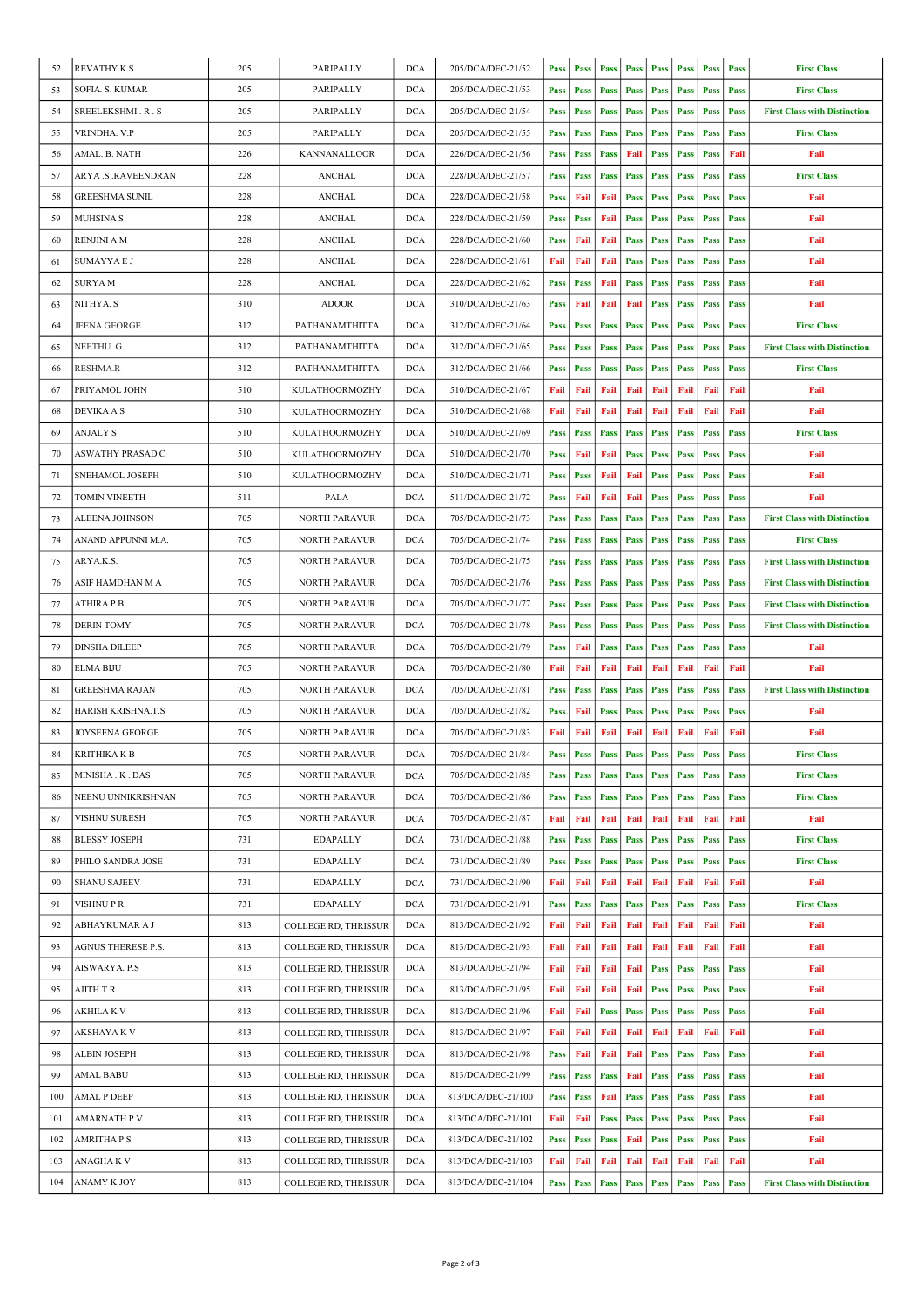| 52  | <b>REVATHY K S</b>        | 205 | <b>PARIPALLY</b>            | <b>DCA</b> | 205/DCA/DEC-21/52  | <b>Pass</b> | Pass        | <b>Pass</b>                                           | Pass        | Pass        | Pass        | <b>Pass</b> | Pass        | <b>First Class</b>                  |
|-----|---------------------------|-----|-----------------------------|------------|--------------------|-------------|-------------|-------------------------------------------------------|-------------|-------------|-------------|-------------|-------------|-------------------------------------|
| 53  | SOFIA. S. KUMAR           | 205 | PARIPALLY                   | <b>DCA</b> | 205/DCA/DEC-21/53  | Pass        | Pass        | Pass                                                  | Pass        | Pass        | Pass        | Pass        | Pass        | <b>First Class</b>                  |
| 54  | SREELEKSHMI.R.S           | 205 | PARIPALLY                   | <b>DCA</b> | 205/DCA/DEC-21/54  | <b>Pass</b> | Pass        | Pass                                                  | Pass        | Pass        | Pass        | Pass        | Pass        | <b>First Class with Distinction</b> |
| 55  | VRINDHA. V.P              | 205 | PARIPALLY                   | <b>DCA</b> | 205/DCA/DEC-21/55  | Pass        | Pass        | Pass                                                  | Pass        | Pass        | Pass        | Pass        | Pass        | <b>First Class</b>                  |
| 56  | AMAL. B. NATH             | 226 | KANNANALLOOR                | <b>DCA</b> | 226/DCA/DEC-21/56  | Pass        | Pass        | Pass                                                  | Fail        | Pass        | Pass        | Pass        | Fail        | Fail                                |
| 57  | ARYA .S .RAVEENDRAN       | 228 | <b>ANCHAL</b>               | <b>DCA</b> | 228/DCA/DEC-21/57  | <b>Pass</b> | Pass        | Pass                                                  | Pass        | Pass        | Pass        | Pass        | Pass        | <b>First Class</b>                  |
| 58  | <b>GREESHMA SUNIL</b>     | 228 | <b>ANCHAL</b>               | <b>DCA</b> | 228/DCA/DEC-21/58  | Pass        | Fail        | Fail                                                  | Pass        | Pass        | Pass        | Pass        | Pass        | Fail                                |
| 59  | <b>MUHSINA S</b>          | 228 | <b>ANCHAL</b>               | <b>DCA</b> | 228/DCA/DEC-21/59  | Pass        | Pass        | Fail                                                  | Pass        | Pass        | Pass        | Pass        | Pass        | Fail                                |
| 60  | RENJINI A M               | 228 | <b>ANCHAL</b>               | <b>DCA</b> | 228/DCA/DEC-21/60  | <b>Pass</b> | Fail        | Fail                                                  | Pass        | Pass        | Pass        | Pass        | <b>Pass</b> | Fail                                |
| 61  | <b>SUMAYYA E J</b>        | 228 | <b>ANCHAL</b>               | <b>DCA</b> | 228/DCA/DEC-21/61  | Fail        | Fail        | Fail                                                  | <b>Pass</b> | Pass        | Pass        | <b>Pass</b> | Pass        | Fail                                |
| 62  | <b>SURYAM</b>             | 228 | <b>ANCHAL</b>               | <b>DCA</b> | 228/DCA/DEC-21/62  |             | <b>Pass</b> | Fail                                                  | Pass        | Pass        | Pass        | Pass        |             | Fail                                |
|     |                           | 310 | <b>ADOOR</b>                | <b>DCA</b> |                    | Pass        |             |                                                       |             |             |             |             | Pass        |                                     |
| 63  | NITHYA. S                 |     |                             |            | 310/DCA/DEC-21/63  | <b>Pass</b> | Fail        | Fail                                                  | Fail        | Pass        | Pass        | Pass        | Pass        | Fail                                |
| 64  | <b>JEENA GEORGE</b>       | 312 | PATHANAMTHITTA              | <b>DCA</b> | 312/DCA/DEC-21/64  | Pass        | Pass        | Pass                                                  | Pass        | Pass        | Pass        | Pass        | Pass        | <b>First Class</b>                  |
| 65  | NEETHU. G.                | 312 | PATHANAMTHITTA              | <b>DCA</b> | 312/DCA/DEC-21/65  | Pass        | Pass        | <b>Pass</b>                                           | Pass        | Pass        | Pass        | Pass        | Pass        | <b>First Class with Distinction</b> |
| 66  | <b>RESHMA.R</b>           | 312 | PATHANAMTHITTA              | <b>DCA</b> | 312/DCA/DEC-21/66  | <b>Pass</b> | Pass        | <b>Pass</b>                                           | Pass        | Pass        | Pass        | Pass        | <b>Pass</b> | <b>First Class</b>                  |
| 67  | PRIYAMOL JOHN             | 510 | <b>KULATHOORMOZHY</b>       | <b>DCA</b> | 510/DCA/DEC-21/67  | Fail        | Fail        | Fail                                                  | Fail        | Fail        | Fail        | Fail        | Fail        | Fail                                |
| 68  | <b>DEVIKA A S</b>         | 510 | KULATHOORMOZHY              | <b>DCA</b> | 510/DCA/DEC-21/68  | Fail        | Fail        | Fail                                                  | Fail        | Fail        | Fail        | Fail        | Fail        | Fail                                |
| 69  | <b>ANJALY S</b>           | 510 | KULATHOORMOZHY              | <b>DCA</b> | 510/DCA/DEC-21/69  | Pass        | Pass        | <b>Pass</b>                                           | Pass        | Pass        | Pass        | Pass        | Pass        | <b>First Class</b>                  |
| 70  | ASWATHY PRASAD.C          | 510 | <b>KULATHOORMOZHY</b>       | <b>DCA</b> | 510/DCA/DEC-21/70  | <b>Pass</b> | Fail        | Fail                                                  | Pass        | Pass        | Pass        | Pass        | Pass        | Fail                                |
| 71  | SNEHAMOL JOSEPH           | 510 | KULATHOORMOZHY              | <b>DCA</b> | 510/DCA/DEC-21/71  | Pass        | <b>Pass</b> | Fail                                                  | Fail        | Pass        | Pass        | <b>Pass</b> | Pass        | Fail                                |
| 72  | <b>TOMIN VINEETH</b>      | 511 | PALA                        | <b>DCA</b> | 511/DCA/DEC-21/72  | Pass        | Fail        | Fail                                                  | Fail        | Pass        | Pass        | Pass        | Pass        | Fail                                |
| 73  | <b>ALEENA JOHNSON</b>     | 705 | <b>NORTH PARAVUR</b>        | <b>DCA</b> | 705/DCA/DEC-21/73  | <b>Pass</b> | Pass        | Pass                                                  | Pass        | Pass        | Pass        | Pass        | Pass        | <b>First Class with Distinction</b> |
| 74  | ANAND APPUNNI M.A.        | 705 | NORTH PARAVUR               | <b>DCA</b> | 705/DCA/DEC-21/74  | <b>Pass</b> | <b>Pass</b> | <b>Pass</b>                                           | Pass        | Pass        | Pass        | Pass        | Pass        | <b>First Class</b>                  |
| 75  | ARYA.K.S.                 | 705 | NORTH PARAVUR               | <b>DCA</b> | 705/DCA/DEC-21/75  | Pass        | Pass        | <b>Pass</b>                                           | Pass        | Pass        | Pass        | Pass        | <b>Pass</b> | <b>First Class with Distinction</b> |
| 76  | ASIF HAMDHAN M A          | 705 | <b>NORTH PARAVUR</b>        | <b>DCA</b> | 705/DCA/DEC-21/76  | Pass        | Pass        | <b>Pass</b>                                           | Pass        | Pass        | Pass        | Pass        | <b>Pass</b> | <b>First Class with Distinction</b> |
| 77  | <b>ATHIRA P B</b>         | 705 | <b>NORTH PARAVUR</b>        | <b>DCA</b> | 705/DCA/DEC-21/77  | <b>Pass</b> | <b>Pass</b> | <b>Pass</b>                                           | Pass        | Pass        | Pass        | Pass        | Pass        | <b>First Class with Distinction</b> |
| 78  | <b>DERIN TOMY</b>         | 705 | <b>NORTH PARAVUR</b>        | <b>DCA</b> | 705/DCA/DEC-21/78  | <b>Pass</b> | Pass        | Pass                                                  | Pass        | Pass        | Pass        | Pass        | Pass        | <b>First Class with Distinction</b> |
| 79  | <b>DINSHA DILEEP</b>      | 705 | NORTH PARAVUR               | <b>DCA</b> | 705/DCA/DEC-21/79  | Pass        | Fail        | <b>Pass</b>                                           | Pass        | Pass        | Pass        | Pass        | Pass        | Fail                                |
| 80  | ELMA BIJU                 | 705 | <b>NORTH PARAVUR</b>        | <b>DCA</b> | 705/DCA/DEC-21/80  | Fail        | Fail        | Fail                                                  | Fail        | Fail        | Fail        | Fail        | Fail        | Fail                                |
| 81  | <b>GREESHMA RAJAN</b>     | 705 | <b>NORTH PARAVUR</b>        | <b>DCA</b> | 705/DCA/DEC-21/81  | Pass        | Pass        | <b>Pass</b>                                           | Pass        | Pass        | <b>Pass</b> | Pass        | Pass        | <b>First Class with Distinction</b> |
| 82  | <b>HARISH KRISHNA.T.S</b> | 705 | <b>NORTH PARAVUR</b>        | <b>DCA</b> | 705/DCA/DEC-21/82  | Pass        | Fail        | <b>Pass</b>                                           | Pass        | Pass        | Pass        | Pass        | Pass        | Fail                                |
| 83  | <b>JOYSEENA GEORGE</b>    | 705 | <b>NORTH PARAVUR</b>        | <b>DCA</b> | 705/DCA/DEC-21/83  | Fail        | Fail        | Fail                                                  | Fail        | Fail        | Fail        | Fail        | Fail        | Fail                                |
| 84  | <b>KRITHIKAKB</b>         | 705 | NORTH PARAVUR               | DCA        | 705/DCA/DEC-21/84  |             |             | Pass   Pass   Pass   Pass   Pass   Pass   Pass   Pass |             |             |             |             |             | <b>First Class</b>                  |
| 85  | MINISHA . K . DAS         | 705 | NORTH PARAVUR               | <b>DCA</b> | 705/DCA/DEC-21/85  | Pass        | Pass        | Pass                                                  | Pass        | Pass        | Pass        | Pass        | Pass        | <b>First Class</b>                  |
| 86  | NEENU UNNIKRISHNAN        | 705 | NORTH PARAVUR               | DCA        | 705/DCA/DEC-21/86  | Pass        | Pass        | <b>Pass</b>                                           | Pass        | Pass        | Pass        | Pass        | Pass        | <b>First Class</b>                  |
| 87  | VISHNU SURESH             | 705 | NORTH PARAVUR               | <b>DCA</b> | 705/DCA/DEC-21/87  | Fail        | Fail        | Fail                                                  | Fail        | Fail        | Fail        | Fail        | Fail        | Fail                                |
| 88  | <b>BLESSY JOSEPH</b>      | 731 | <b>EDAPALLY</b>             | DCA        | 731/DCA/DEC-21/88  | <b>Pass</b> | Pass        | Pass                                                  | Pass        | Pass        | Pass        | Pass        | Pass        | <b>First Class</b>                  |
| 89  | PHILO SANDRA JOSE         | 731 | <b>EDAPALLY</b>             | DCA        | 731/DCA/DEC-21/89  | Pass        | Pass        | Pass                                                  | Pass        | Pass        | Pass        | Pass        | Pass        | <b>First Class</b>                  |
| 90  | <b>SHANU SAJEEV</b>       | 731 | <b>EDAPALLY</b>             | <b>DCA</b> | 731/DCA/DEC-21/90  | Fail        | Fail        | Fail                                                  | Fail        | Fail        | Fail        | Fail        | Fail        | Fail                                |
| 91  | VISHNU P R                | 731 | EDAPALLY                    | <b>DCA</b> | 731/DCA/DEC-21/91  | <b>Pass</b> | Pass        | Pass                                                  | Pass        | Pass        | Pass        | Pass        | Pass        | <b>First Class</b>                  |
| 92  | ABHAYKUMAR A J            | 813 | <b>COLLEGE RD, THRISSUR</b> | <b>DCA</b> | 813/DCA/DEC-21/92  | Fail        | Fail        | Fail                                                  | Fail        | Fail        | Fail        | Fail        | Fail        | Fail                                |
| 93  | AGNUS THERESE P.S.        | 813 | COLLEGE RD, THRISSUR        | <b>DCA</b> | 813/DCA/DEC-21/93  | Fail        | Fail        | Fail                                                  | Fail        | Fail        | Fail        | Fail        | Fail        | Fail                                |
| 94  | AISWARYA. P.S             | 813 | COLLEGE RD, THRISSUR        | <b>DCA</b> | 813/DCA/DEC-21/94  | Fail        | Fail        | Fail                                                  | Fail        | Pass        | Pass        | Pass        | Pass        | Fail                                |
| 95  | AJITH T R                 | 813 |                             | <b>DCA</b> | 813/DCA/DEC-21/95  |             | Fail        | Fail                                                  | Fail        |             | Pass        | Pass        |             |                                     |
|     |                           |     | COLLEGE RD, THRISSUR        |            |                    | Fail        |             |                                                       |             | <b>Pass</b> |             | Pass        | Pass        | Fail                                |
| 96  | <b>AKHILA K V</b>         | 813 | COLLEGE RD, THRISSUR        | <b>DCA</b> | 813/DCA/DEC-21/96  | Fail        | Fail        | <b>Pass</b>                                           | Pass        | Pass        | Pass        |             | Pass        | Fail                                |
| 97  | <b>AKSHAYAK V</b>         | 813 | COLLEGE RD, THRISSUR        | <b>DCA</b> | 813/DCA/DEC-21/97  | Fail        | Fail        | Fail                                                  | Fail        | Fail        | Fail        | Fail        | Fail        | Fail                                |
| 98  | <b>ALBIN JOSEPH</b>       | 813 | COLLEGE RD, THRISSUR        | <b>DCA</b> | 813/DCA/DEC-21/98  | Pass        | Fail        | Fail                                                  | Fail        | Pass        | Pass        | Pass        | Pass        | Fail                                |
| 99  | <b>AMAL BABU</b>          | 813 | COLLEGE RD, THRISSUR        | <b>DCA</b> | 813/DCA/DEC-21/99  | Pass        | Pass        | Pass                                                  | Fail        | Pass        | Pass        | Pass        | Pass        | Fail                                |
| 100 | <b>AMAL P DEEP</b>        | 813 | COLLEGE RD, THRISSUR        | <b>DCA</b> | 813/DCA/DEC-21/100 | Pass        | Pass        | Fail                                                  | Pass        | Pass        | <b>Pass</b> | Pass        | Pass        | Fail                                |
| 101 | <b>AMARNATH P V</b>       | 813 | <b>COLLEGE RD, THRISSUR</b> | <b>DCA</b> | 813/DCA/DEC-21/101 | Fail        | Fail        | Pass                                                  | Pass        | Pass        | Pass        | Pass        | Pass        | Fail                                |
| 102 | <b>AMRITHA P S</b>        | 813 | COLLEGE RD, THRISSUR        | <b>DCA</b> | 813/DCA/DEC-21/102 | <b>Pass</b> | Pass        | Pass                                                  | Fail        | Pass        | Pass        | Pass        | Pass        | Fail                                |
| 103 | ANAGHA K V                | 813 | COLLEGE RD, THRISSUR        | <b>DCA</b> | 813/DCA/DEC-21/103 | Fail        | Fail        | Fail                                                  | Fail        | Fail        | Fail        | Fail        | Fail        | Fail                                |
| 104 | ANAMY K JOY               | 813 | COLLEGE RD, THRISSUR        | DCA        | 813/DCA/DEC-21/104 | Pass        | Pass        | Pass                                                  | Pass        | Pass        | Pass        | Pass        | Pass        | <b>First Class with Distinction</b> |